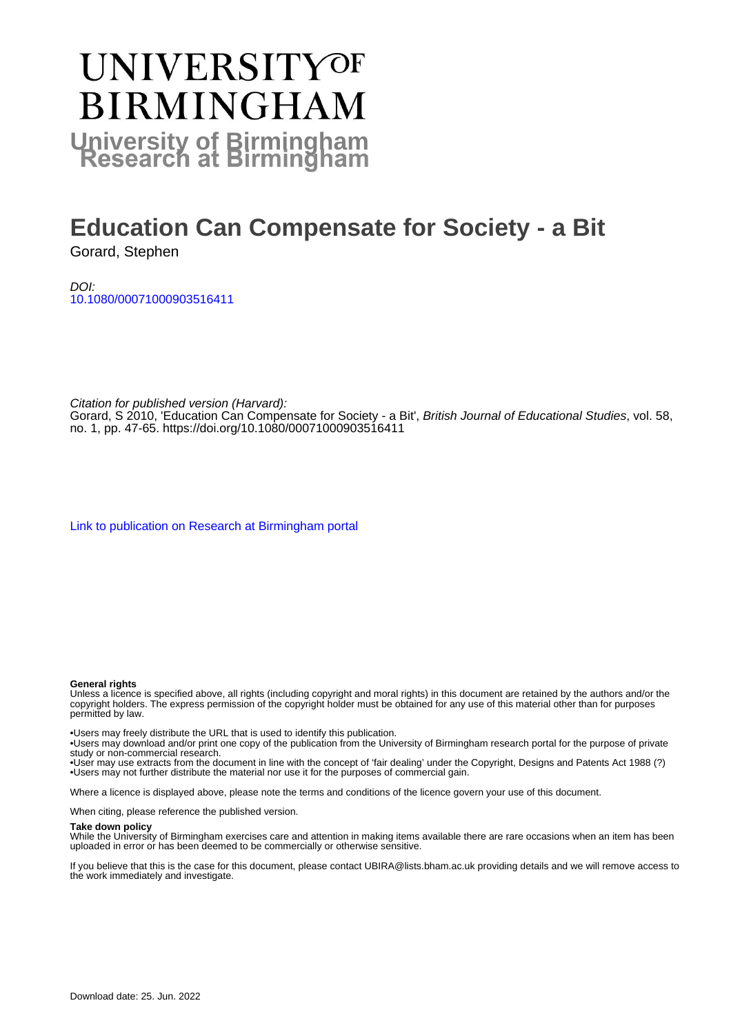# **UNIVERSITYOF BIRMINGHAM University of Birmingham**

# **Education Can Compensate for Society - a Bit**

Gorard, Stephen

DOI: [10.1080/00071000903516411](https://doi.org/10.1080/00071000903516411)

Citation for published version (Harvard): Gorard, S 2010, 'Education Can Compensate for Society - a Bit', British Journal of Educational Studies, vol. 58, no. 1, pp. 47-65. <https://doi.org/10.1080/00071000903516411>

[Link to publication on Research at Birmingham portal](https://birmingham.elsevierpure.com/en/publications/1bf47025-e07c-4b51-abd8-48bfbc1a3981)

#### **General rights**

Unless a licence is specified above, all rights (including copyright and moral rights) in this document are retained by the authors and/or the copyright holders. The express permission of the copyright holder must be obtained for any use of this material other than for purposes permitted by law.

• Users may freely distribute the URL that is used to identify this publication.

• Users may download and/or print one copy of the publication from the University of Birmingham research portal for the purpose of private study or non-commercial research.

• User may use extracts from the document in line with the concept of 'fair dealing' under the Copyright, Designs and Patents Act 1988 (?) • Users may not further distribute the material nor use it for the purposes of commercial gain.

Where a licence is displayed above, please note the terms and conditions of the licence govern your use of this document.

When citing, please reference the published version.

#### **Take down policy**

While the University of Birmingham exercises care and attention in making items available there are rare occasions when an item has been uploaded in error or has been deemed to be commercially or otherwise sensitive.

If you believe that this is the case for this document, please contact UBIRA@lists.bham.ac.uk providing details and we will remove access to the work immediately and investigate.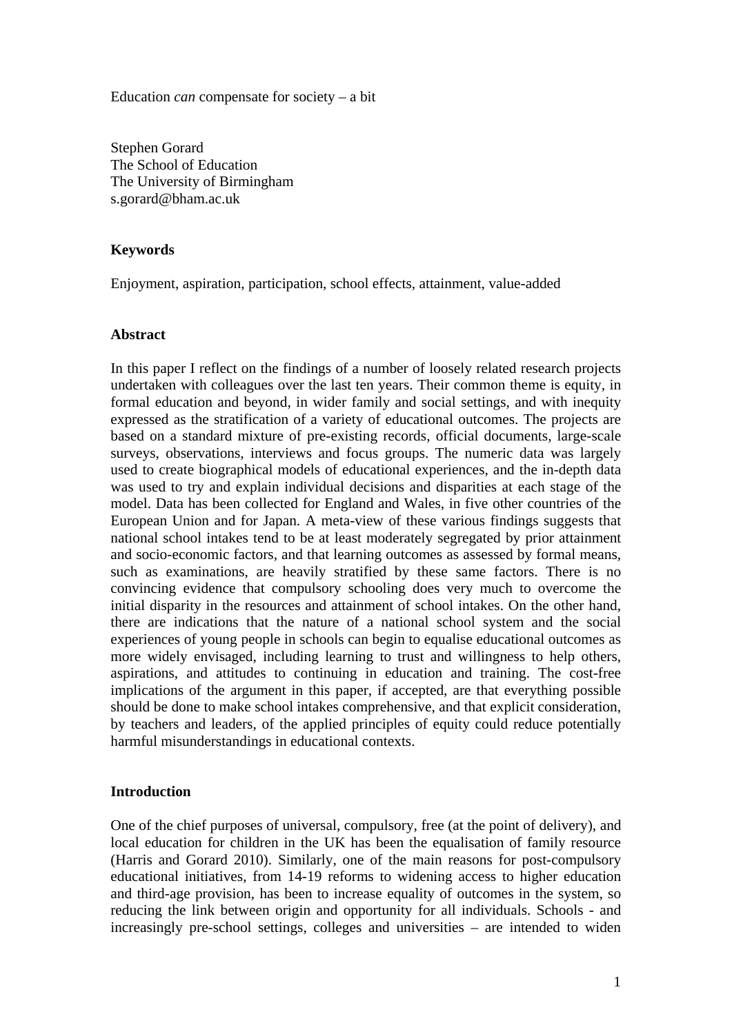Education *can* compensate for society – a bit

Stephen Gorard The School of Education The University of Birmingham s.gorard@bham.ac.uk

#### **Keywords**

Enjoyment, aspiration, participation, school effects, attainment, value-added

#### **Abstract**

In this paper I reflect on the findings of a number of loosely related research projects undertaken with colleagues over the last ten years. Their common theme is equity, in formal education and beyond, in wider family and social settings, and with inequity expressed as the stratification of a variety of educational outcomes. The projects are based on a standard mixture of pre-existing records, official documents, large-scale surveys, observations, interviews and focus groups. The numeric data was largely used to create biographical models of educational experiences, and the in-depth data was used to try and explain individual decisions and disparities at each stage of the model. Data has been collected for England and Wales, in five other countries of the European Union and for Japan. A meta-view of these various findings suggests that national school intakes tend to be at least moderately segregated by prior attainment and socio-economic factors, and that learning outcomes as assessed by formal means, such as examinations, are heavily stratified by these same factors. There is no convincing evidence that compulsory schooling does very much to overcome the initial disparity in the resources and attainment of school intakes. On the other hand, there are indications that the nature of a national school system and the social experiences of young people in schools can begin to equalise educational outcomes as more widely envisaged, including learning to trust and willingness to help others, aspirations, and attitudes to continuing in education and training. The cost-free implications of the argument in this paper, if accepted, are that everything possible should be done to make school intakes comprehensive, and that explicit consideration, by teachers and leaders, of the applied principles of equity could reduce potentially harmful misunderstandings in educational contexts.

#### **Introduction**

One of the chief purposes of universal, compulsory, free (at the point of delivery), and local education for children in the UK has been the equalisation of family resource (Harris and Gorard 2010). Similarly, one of the main reasons for post-compulsory educational initiatives, from 14-19 reforms to widening access to higher education and third-age provision, has been to increase equality of outcomes in the system, so reducing the link between origin and opportunity for all individuals. Schools - and increasingly pre-school settings, colleges and universities – are intended to widen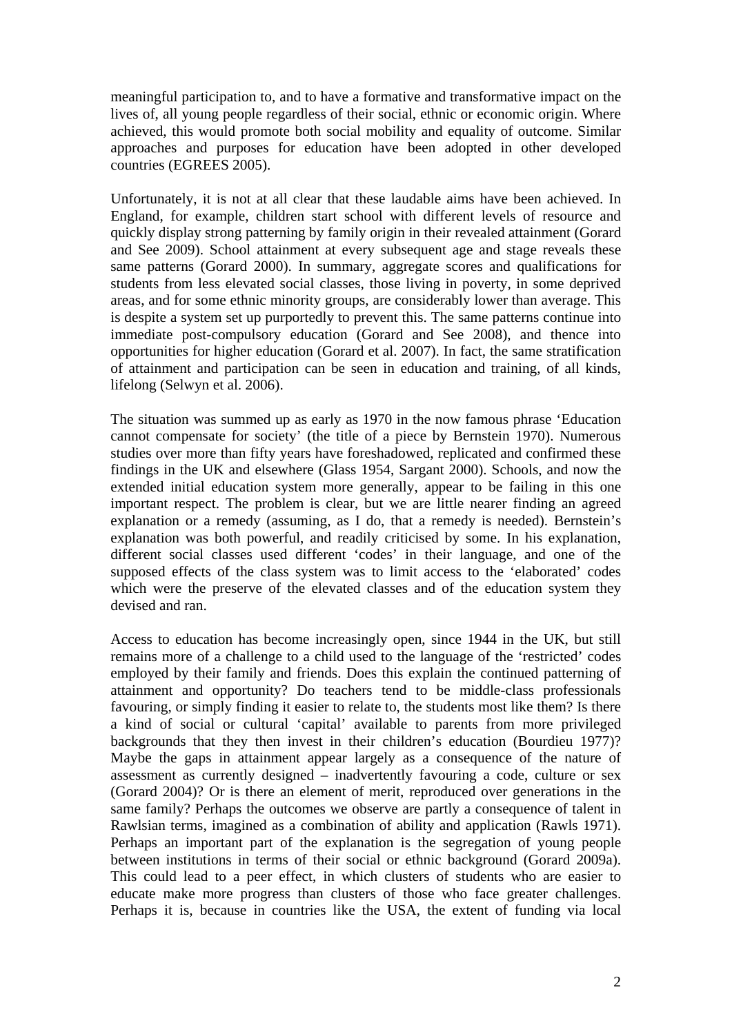meaningful participation to, and to have a formative and transformative impact on the lives of, all young people regardless of their social, ethnic or economic origin. Where achieved, this would promote both social mobility and equality of outcome. Similar approaches and purposes for education have been adopted in other developed countries (EGREES 2005).

Unfortunately, it is not at all clear that these laudable aims have been achieved. In England, for example, children start school with different levels of resource and quickly display strong patterning by family origin in their revealed attainment (Gorard and See 2009). School attainment at every subsequent age and stage reveals these same patterns (Gorard 2000). In summary, aggregate scores and qualifications for students from less elevated social classes, those living in poverty, in some deprived areas, and for some ethnic minority groups, are considerably lower than average. This is despite a system set up purportedly to prevent this. The same patterns continue into immediate post-compulsory education (Gorard and See 2008), and thence into opportunities for higher education (Gorard et al. 2007). In fact, the same stratification of attainment and participation can be seen in education and training, of all kinds, lifelong (Selwyn et al. 2006).

The situation was summed up as early as 1970 in the now famous phrase 'Education cannot compensate for society' (the title of a piece by Bernstein 1970). Numerous studies over more than fifty years have foreshadowed, replicated and confirmed these findings in the UK and elsewhere (Glass 1954, Sargant 2000). Schools, and now the extended initial education system more generally, appear to be failing in this one important respect. The problem is clear, but we are little nearer finding an agreed explanation or a remedy (assuming, as I do, that a remedy is needed). Bernstein's explanation was both powerful, and readily criticised by some. In his explanation, different social classes used different 'codes' in their language, and one of the supposed effects of the class system was to limit access to the 'elaborated' codes which were the preserve of the elevated classes and of the education system they devised and ran.

Access to education has become increasingly open, since 1944 in the UK, but still remains more of a challenge to a child used to the language of the 'restricted' codes employed by their family and friends. Does this explain the continued patterning of attainment and opportunity? Do teachers tend to be middle-class professionals favouring, or simply finding it easier to relate to, the students most like them? Is there a kind of social or cultural 'capital' available to parents from more privileged backgrounds that they then invest in their children's education (Bourdieu 1977)? Maybe the gaps in attainment appear largely as a consequence of the nature of assessment as currently designed – inadvertently favouring a code, culture or sex (Gorard 2004)? Or is there an element of merit, reproduced over generations in the same family? Perhaps the outcomes we observe are partly a consequence of talent in Rawlsian terms, imagined as a combination of ability and application (Rawls 1971). Perhaps an important part of the explanation is the segregation of young people between institutions in terms of their social or ethnic background (Gorard 2009a). This could lead to a peer effect, in which clusters of students who are easier to educate make more progress than clusters of those who face greater challenges. Perhaps it is, because in countries like the USA, the extent of funding via local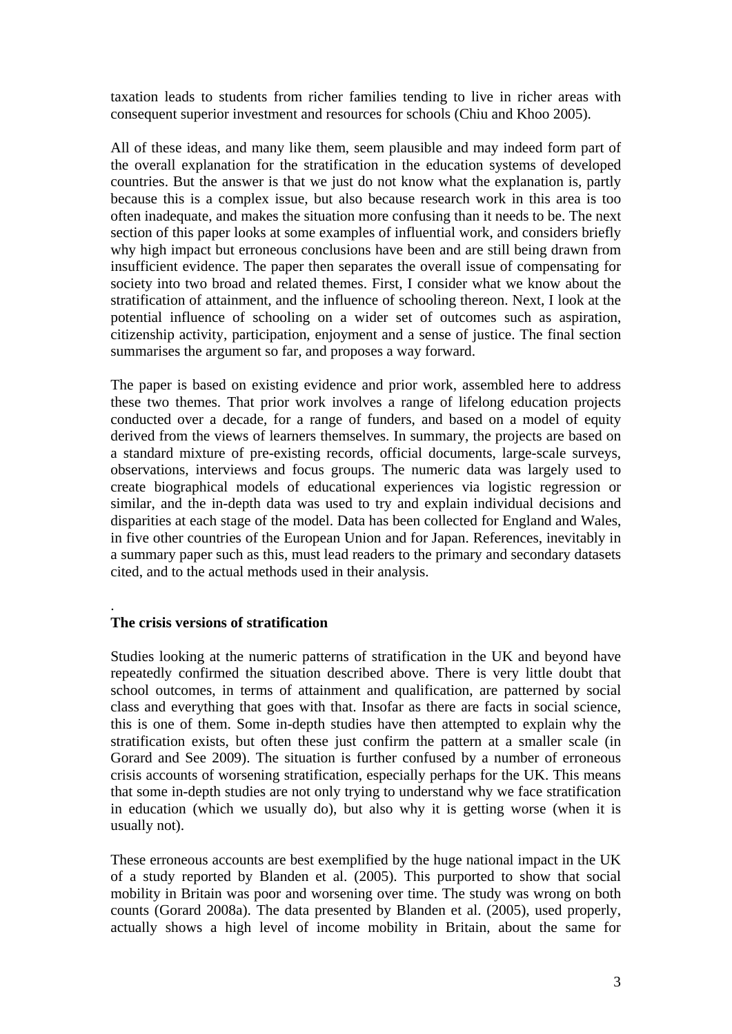taxation leads to students from richer families tending to live in richer areas with consequent superior investment and resources for schools (Chiu and Khoo 2005).

All of these ideas, and many like them, seem plausible and may indeed form part of the overall explanation for the stratification in the education systems of developed countries. But the answer is that we just do not know what the explanation is, partly because this is a complex issue, but also because research work in this area is too often inadequate, and makes the situation more confusing than it needs to be. The next section of this paper looks at some examples of influential work, and considers briefly why high impact but erroneous conclusions have been and are still being drawn from insufficient evidence. The paper then separates the overall issue of compensating for society into two broad and related themes. First, I consider what we know about the stratification of attainment, and the influence of schooling thereon. Next, I look at the potential influence of schooling on a wider set of outcomes such as aspiration, citizenship activity, participation, enjoyment and a sense of justice. The final section summarises the argument so far, and proposes a way forward.

The paper is based on existing evidence and prior work, assembled here to address these two themes. That prior work involves a range of lifelong education projects conducted over a decade, for a range of funders, and based on a model of equity derived from the views of learners themselves. In summary, the projects are based on a standard mixture of pre-existing records, official documents, large-scale surveys, observations, interviews and focus groups. The numeric data was largely used to create biographical models of educational experiences via logistic regression or similar, and the in-depth data was used to try and explain individual decisions and disparities at each stage of the model. Data has been collected for England and Wales, in five other countries of the European Union and for Japan. References, inevitably in a summary paper such as this, must lead readers to the primary and secondary datasets cited, and to the actual methods used in their analysis.

## **The crisis versions of stratification**

.

Studies looking at the numeric patterns of stratification in the UK and beyond have repeatedly confirmed the situation described above. There is very little doubt that school outcomes, in terms of attainment and qualification, are patterned by social class and everything that goes with that. Insofar as there are facts in social science, this is one of them. Some in-depth studies have then attempted to explain why the stratification exists, but often these just confirm the pattern at a smaller scale (in Gorard and See 2009). The situation is further confused by a number of erroneous crisis accounts of worsening stratification, especially perhaps for the UK. This means that some in-depth studies are not only trying to understand why we face stratification in education (which we usually do), but also why it is getting worse (when it is usually not).

These erroneous accounts are best exemplified by the huge national impact in the UK of a study reported by Blanden et al. (2005). This purported to show that social mobility in Britain was poor and worsening over time. The study was wrong on both counts (Gorard 2008a). The data presented by Blanden et al. (2005), used properly, actually shows a high level of income mobility in Britain, about the same for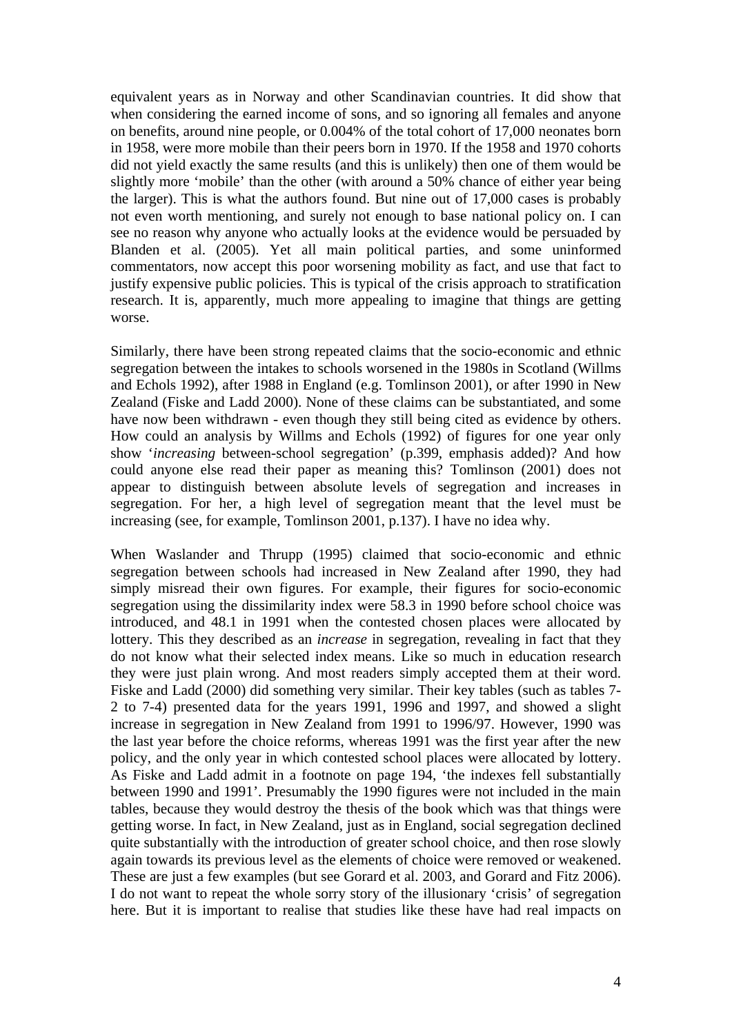equivalent years as in Norway and other Scandinavian countries. It did show that when considering the earned income of sons, and so ignoring all females and anyone on benefits, around nine people, or 0.004% of the total cohort of 17,000 neonates born in 1958, were more mobile than their peers born in 1970. If the 1958 and 1970 cohorts did not yield exactly the same results (and this is unlikely) then one of them would be slightly more 'mobile' than the other (with around a 50% chance of either year being the larger). This is what the authors found. But nine out of 17,000 cases is probably not even worth mentioning, and surely not enough to base national policy on. I can see no reason why anyone who actually looks at the evidence would be persuaded by Blanden et al. (2005). Yet all main political parties, and some uninformed commentators, now accept this poor worsening mobility as fact, and use that fact to justify expensive public policies. This is typical of the crisis approach to stratification research. It is, apparently, much more appealing to imagine that things are getting worse.

Similarly, there have been strong repeated claims that the socio-economic and ethnic segregation between the intakes to schools worsened in the 1980s in Scotland (Willms and Echols 1992), after 1988 in England (e.g. Tomlinson 2001), or after 1990 in New Zealand (Fiske and Ladd 2000). None of these claims can be substantiated, and some have now been withdrawn - even though they still being cited as evidence by others. How could an analysis by Willms and Echols (1992) of figures for one year only show '*increasing* between-school segregation' (p.399, emphasis added)? And how could anyone else read their paper as meaning this? Tomlinson (2001) does not appear to distinguish between absolute levels of segregation and increases in segregation. For her, a high level of segregation meant that the level must be increasing (see, for example, Tomlinson 2001, p.137). I have no idea why.

When Waslander and Thrupp (1995) claimed that socio-economic and ethnic segregation between schools had increased in New Zealand after 1990, they had simply misread their own figures. For example, their figures for socio-economic segregation using the dissimilarity index were 58.3 in 1990 before school choice was introduced, and 48.1 in 1991 when the contested chosen places were allocated by lottery. This they described as an *increase* in segregation, revealing in fact that they do not know what their selected index means. Like so much in education research they were just plain wrong. And most readers simply accepted them at their word. Fiske and Ladd (2000) did something very similar. Their key tables (such as tables 7- 2 to 7-4) presented data for the years 1991, 1996 and 1997, and showed a slight increase in segregation in New Zealand from 1991 to 1996/97. However, 1990 was the last year before the choice reforms, whereas 1991 was the first year after the new policy, and the only year in which contested school places were allocated by lottery. As Fiske and Ladd admit in a footnote on page 194, 'the indexes fell substantially between 1990 and 1991'. Presumably the 1990 figures were not included in the main tables, because they would destroy the thesis of the book which was that things were getting worse. In fact, in New Zealand, just as in England, social segregation declined quite substantially with the introduction of greater school choice, and then rose slowly again towards its previous level as the elements of choice were removed or weakened. These are just a few examples (but see Gorard et al. 2003, and Gorard and Fitz 2006). I do not want to repeat the whole sorry story of the illusionary 'crisis' of segregation here. But it is important to realise that studies like these have had real impacts on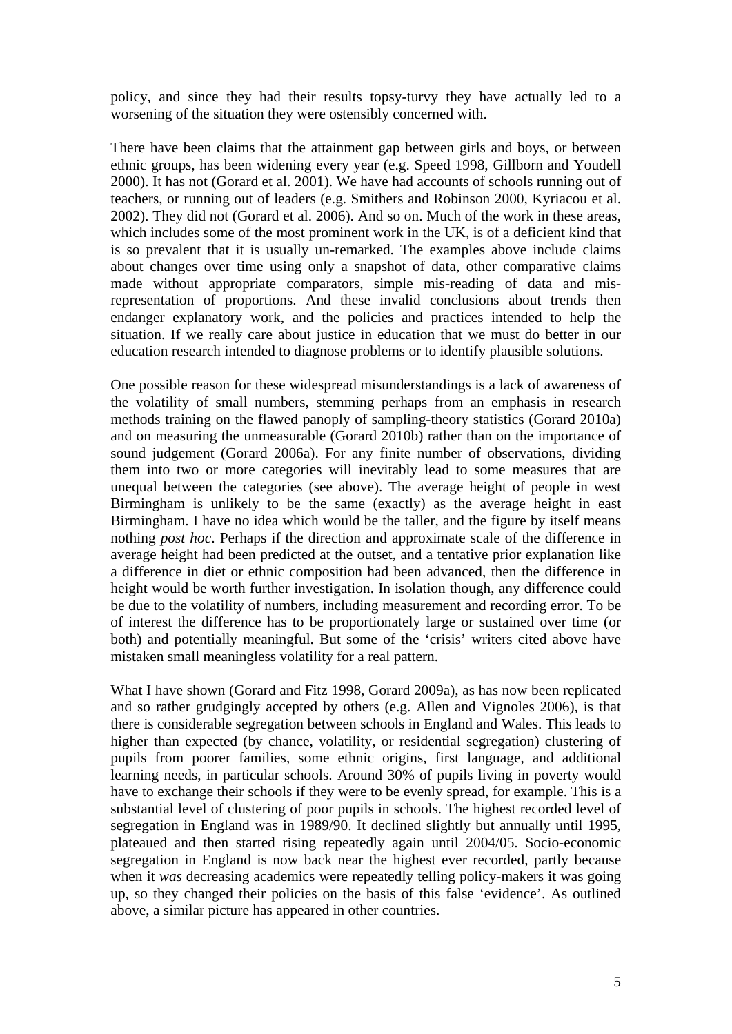policy, and since they had their results topsy-turvy they have actually led to a worsening of the situation they were ostensibly concerned with.

There have been claims that the attainment gap between girls and boys, or between ethnic groups, has been widening every year (e.g. Speed 1998, Gillborn and Youdell 2000). It has not (Gorard et al. 2001). We have had accounts of schools running out of teachers, or running out of leaders (e.g. Smithers and Robinson 2000, Kyriacou et al. 2002). They did not (Gorard et al. 2006). And so on. Much of the work in these areas, which includes some of the most prominent work in the UK, is of a deficient kind that is so prevalent that it is usually un-remarked. The examples above include claims about changes over time using only a snapshot of data, other comparative claims made without appropriate comparators, simple mis-reading of data and misrepresentation of proportions. And these invalid conclusions about trends then endanger explanatory work, and the policies and practices intended to help the situation. If we really care about justice in education that we must do better in our education research intended to diagnose problems or to identify plausible solutions.

One possible reason for these widespread misunderstandings is a lack of awareness of the volatility of small numbers, stemming perhaps from an emphasis in research methods training on the flawed panoply of sampling-theory statistics (Gorard 2010a) and on measuring the unmeasurable (Gorard 2010b) rather than on the importance of sound judgement (Gorard 2006a). For any finite number of observations, dividing them into two or more categories will inevitably lead to some measures that are unequal between the categories (see above). The average height of people in west Birmingham is unlikely to be the same (exactly) as the average height in east Birmingham. I have no idea which would be the taller, and the figure by itself means nothing *post hoc*. Perhaps if the direction and approximate scale of the difference in average height had been predicted at the outset, and a tentative prior explanation like a difference in diet or ethnic composition had been advanced, then the difference in height would be worth further investigation. In isolation though, any difference could be due to the volatility of numbers, including measurement and recording error. To be of interest the difference has to be proportionately large or sustained over time (or both) and potentially meaningful. But some of the 'crisis' writers cited above have mistaken small meaningless volatility for a real pattern.

What I have shown (Gorard and Fitz 1998, Gorard 2009a), as has now been replicated and so rather grudgingly accepted by others (e.g. Allen and Vignoles 2006), is that there is considerable segregation between schools in England and Wales. This leads to higher than expected (by chance, volatility, or residential segregation) clustering of pupils from poorer families, some ethnic origins, first language, and additional learning needs, in particular schools. Around 30% of pupils living in poverty would have to exchange their schools if they were to be evenly spread, for example. This is a substantial level of clustering of poor pupils in schools. The highest recorded level of segregation in England was in 1989/90. It declined slightly but annually until 1995, plateaued and then started rising repeatedly again until 2004/05. Socio-economic segregation in England is now back near the highest ever recorded, partly because when it *was* decreasing academics were repeatedly telling policy-makers it was going up, so they changed their policies on the basis of this false 'evidence'. As outlined above, a similar picture has appeared in other countries.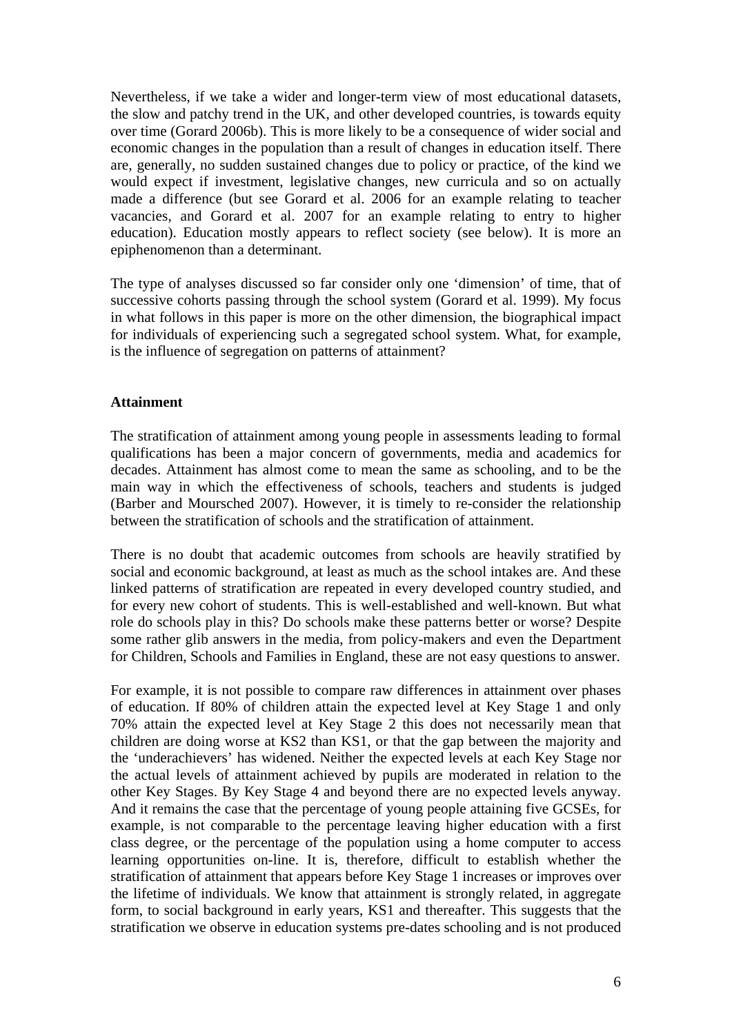Nevertheless, if we take a wider and longer-term view of most educational datasets, the slow and patchy trend in the UK, and other developed countries, is towards equity over time (Gorard 2006b). This is more likely to be a consequence of wider social and economic changes in the population than a result of changes in education itself. There are, generally, no sudden sustained changes due to policy or practice, of the kind we would expect if investment, legislative changes, new curricula and so on actually made a difference (but see Gorard et al. 2006 for an example relating to teacher vacancies, and Gorard et al. 2007 for an example relating to entry to higher education). Education mostly appears to reflect society (see below). It is more an epiphenomenon than a determinant.

The type of analyses discussed so far consider only one 'dimension' of time, that of successive cohorts passing through the school system (Gorard et al. 1999). My focus in what follows in this paper is more on the other dimension, the biographical impact for individuals of experiencing such a segregated school system. What, for example, is the influence of segregation on patterns of attainment?

### **Attainment**

The stratification of attainment among young people in assessments leading to formal qualifications has been a major concern of governments, media and academics for decades. Attainment has almost come to mean the same as schooling, and to be the main way in which the effectiveness of schools, teachers and students is judged (Barber and Moursched 2007). However, it is timely to re-consider the relationship between the stratification of schools and the stratification of attainment.

There is no doubt that academic outcomes from schools are heavily stratified by social and economic background, at least as much as the school intakes are. And these linked patterns of stratification are repeated in every developed country studied, and for every new cohort of students. This is well-established and well-known. But what role do schools play in this? Do schools make these patterns better or worse? Despite some rather glib answers in the media, from policy-makers and even the Department for Children, Schools and Families in England, these are not easy questions to answer.

For example, it is not possible to compare raw differences in attainment over phases of education. If 80% of children attain the expected level at Key Stage 1 and only 70% attain the expected level at Key Stage 2 this does not necessarily mean that children are doing worse at KS2 than KS1, or that the gap between the majority and the 'underachievers' has widened. Neither the expected levels at each Key Stage nor the actual levels of attainment achieved by pupils are moderated in relation to the other Key Stages. By Key Stage 4 and beyond there are no expected levels anyway. And it remains the case that the percentage of young people attaining five GCSEs, for example, is not comparable to the percentage leaving higher education with a first class degree, or the percentage of the population using a home computer to access learning opportunities on-line. It is, therefore, difficult to establish whether the stratification of attainment that appears before Key Stage 1 increases or improves over the lifetime of individuals. We know that attainment is strongly related, in aggregate form, to social background in early years, KS1 and thereafter. This suggests that the stratification we observe in education systems pre-dates schooling and is not produced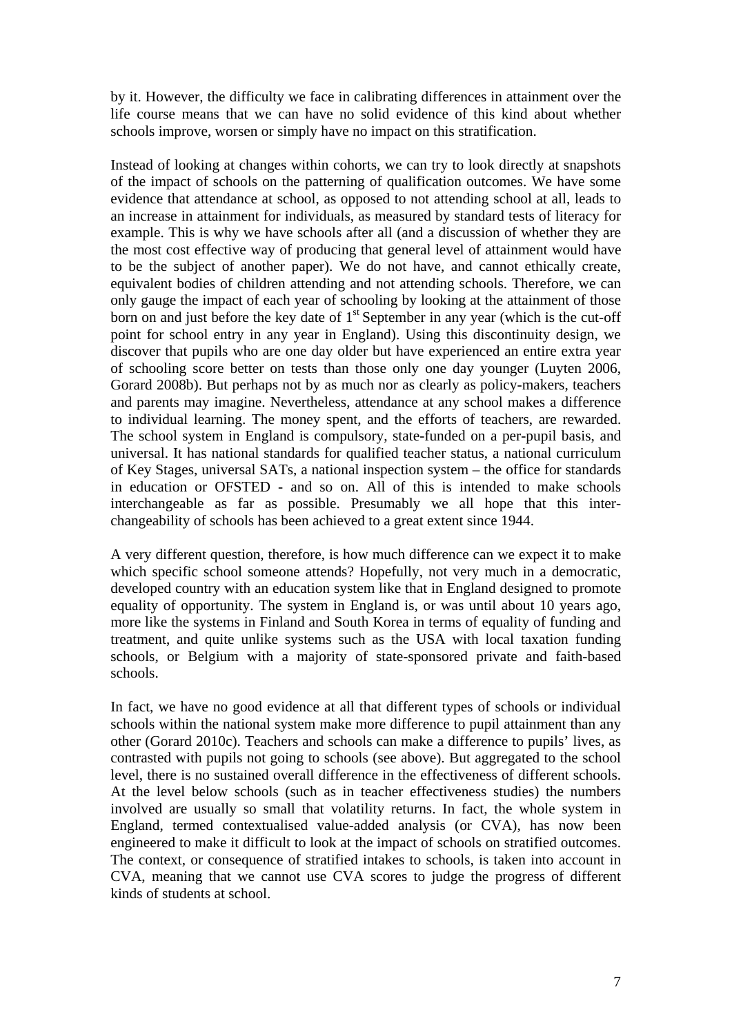by it. However, the difficulty we face in calibrating differences in attainment over the life course means that we can have no solid evidence of this kind about whether schools improve, worsen or simply have no impact on this stratification.

Instead of looking at changes within cohorts, we can try to look directly at snapshots of the impact of schools on the patterning of qualification outcomes. We have some evidence that attendance at school, as opposed to not attending school at all, leads to an increase in attainment for individuals, as measured by standard tests of literacy for example. This is why we have schools after all (and a discussion of whether they are the most cost effective way of producing that general level of attainment would have to be the subject of another paper). We do not have, and cannot ethically create, equivalent bodies of children attending and not attending schools. Therefore, we can only gauge the impact of each year of schooling by looking at the attainment of those born on and just before the key date of  $1<sup>st</sup>$  September in any year (which is the cut-off point for school entry in any year in England). Using this discontinuity design, we discover that pupils who are one day older but have experienced an entire extra year of schooling score better on tests than those only one day younger (Luyten 2006, Gorard 2008b). But perhaps not by as much nor as clearly as policy-makers, teachers and parents may imagine. Nevertheless, attendance at any school makes a difference to individual learning. The money spent, and the efforts of teachers, are rewarded. The school system in England is compulsory, state-funded on a per-pupil basis, and universal. It has national standards for qualified teacher status, a national curriculum of Key Stages, universal SATs, a national inspection system – the office for standards in education or OFSTED - and so on. All of this is intended to make schools interchangeable as far as possible. Presumably we all hope that this interchangeability of schools has been achieved to a great extent since 1944.

A very different question, therefore, is how much difference can we expect it to make which specific school someone attends? Hopefully, not very much in a democratic, developed country with an education system like that in England designed to promote equality of opportunity. The system in England is, or was until about 10 years ago, more like the systems in Finland and South Korea in terms of equality of funding and treatment, and quite unlike systems such as the USA with local taxation funding schools, or Belgium with a majority of state-sponsored private and faith-based schools.

In fact, we have no good evidence at all that different types of schools or individual schools within the national system make more difference to pupil attainment than any other (Gorard 2010c). Teachers and schools can make a difference to pupils' lives, as contrasted with pupils not going to schools (see above). But aggregated to the school level, there is no sustained overall difference in the effectiveness of different schools. At the level below schools (such as in teacher effectiveness studies) the numbers involved are usually so small that volatility returns. In fact, the whole system in England, termed contextualised value-added analysis (or CVA), has now been engineered to make it difficult to look at the impact of schools on stratified outcomes. The context, or consequence of stratified intakes to schools, is taken into account in CVA, meaning that we cannot use CVA scores to judge the progress of different kinds of students at school.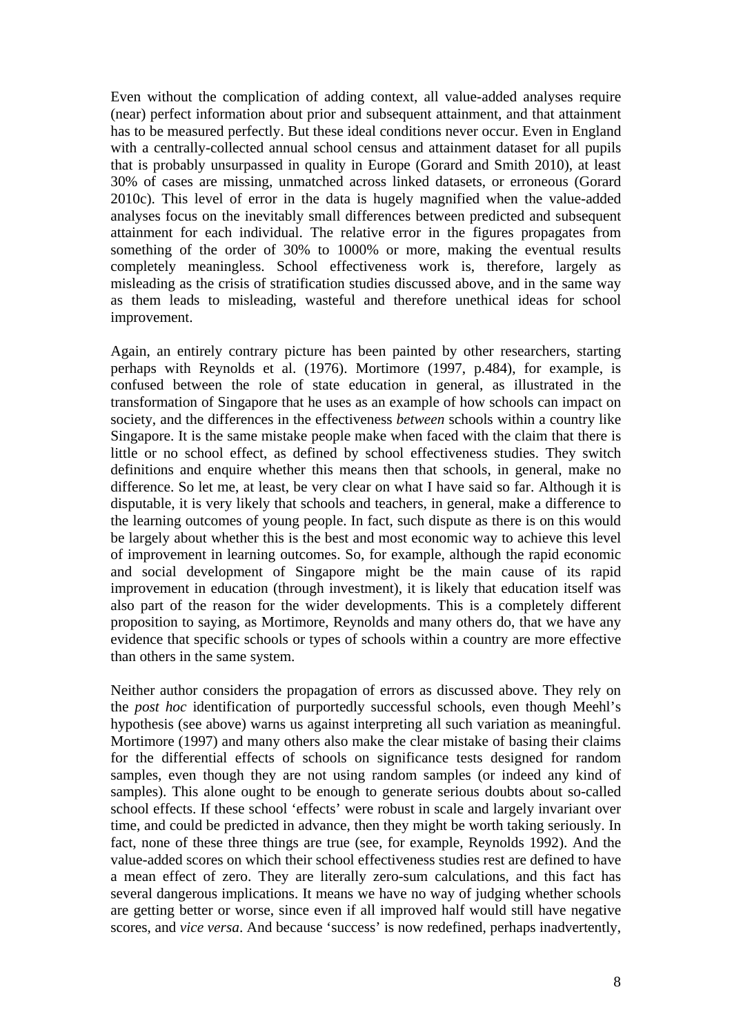Even without the complication of adding context, all value-added analyses require (near) perfect information about prior and subsequent attainment, and that attainment has to be measured perfectly. But these ideal conditions never occur. Even in England with a centrally-collected annual school census and attainment dataset for all pupils that is probably unsurpassed in quality in Europe (Gorard and Smith 2010), at least 30% of cases are missing, unmatched across linked datasets, or erroneous (Gorard 2010c). This level of error in the data is hugely magnified when the value-added analyses focus on the inevitably small differences between predicted and subsequent attainment for each individual. The relative error in the figures propagates from something of the order of 30% to 1000% or more, making the eventual results completely meaningless. School effectiveness work is, therefore, largely as misleading as the crisis of stratification studies discussed above, and in the same way as them leads to misleading, wasteful and therefore unethical ideas for school improvement.

Again, an entirely contrary picture has been painted by other researchers, starting perhaps with Reynolds et al. (1976). Mortimore (1997, p.484), for example, is confused between the role of state education in general, as illustrated in the transformation of Singapore that he uses as an example of how schools can impact on society, and the differences in the effectiveness *between* schools within a country like Singapore. It is the same mistake people make when faced with the claim that there is little or no school effect, as defined by school effectiveness studies. They switch definitions and enquire whether this means then that schools, in general, make no difference. So let me, at least, be very clear on what I have said so far. Although it is disputable, it is very likely that schools and teachers, in general, make a difference to the learning outcomes of young people. In fact, such dispute as there is on this would be largely about whether this is the best and most economic way to achieve this level of improvement in learning outcomes. So, for example, although the rapid economic and social development of Singapore might be the main cause of its rapid improvement in education (through investment), it is likely that education itself was also part of the reason for the wider developments. This is a completely different proposition to saying, as Mortimore, Reynolds and many others do, that we have any evidence that specific schools or types of schools within a country are more effective than others in the same system.

Neither author considers the propagation of errors as discussed above. They rely on the *post hoc* identification of purportedly successful schools, even though Meehl's hypothesis (see above) warns us against interpreting all such variation as meaningful. Mortimore (1997) and many others also make the clear mistake of basing their claims for the differential effects of schools on significance tests designed for random samples, even though they are not using random samples (or indeed any kind of samples). This alone ought to be enough to generate serious doubts about so-called school effects. If these school 'effects' were robust in scale and largely invariant over time, and could be predicted in advance, then they might be worth taking seriously. In fact, none of these three things are true (see, for example, Reynolds 1992). And the value-added scores on which their school effectiveness studies rest are defined to have a mean effect of zero. They are literally zero-sum calculations, and this fact has several dangerous implications. It means we have no way of judging whether schools are getting better or worse, since even if all improved half would still have negative scores, and *vice versa*. And because 'success' is now redefined, perhaps inadvertently,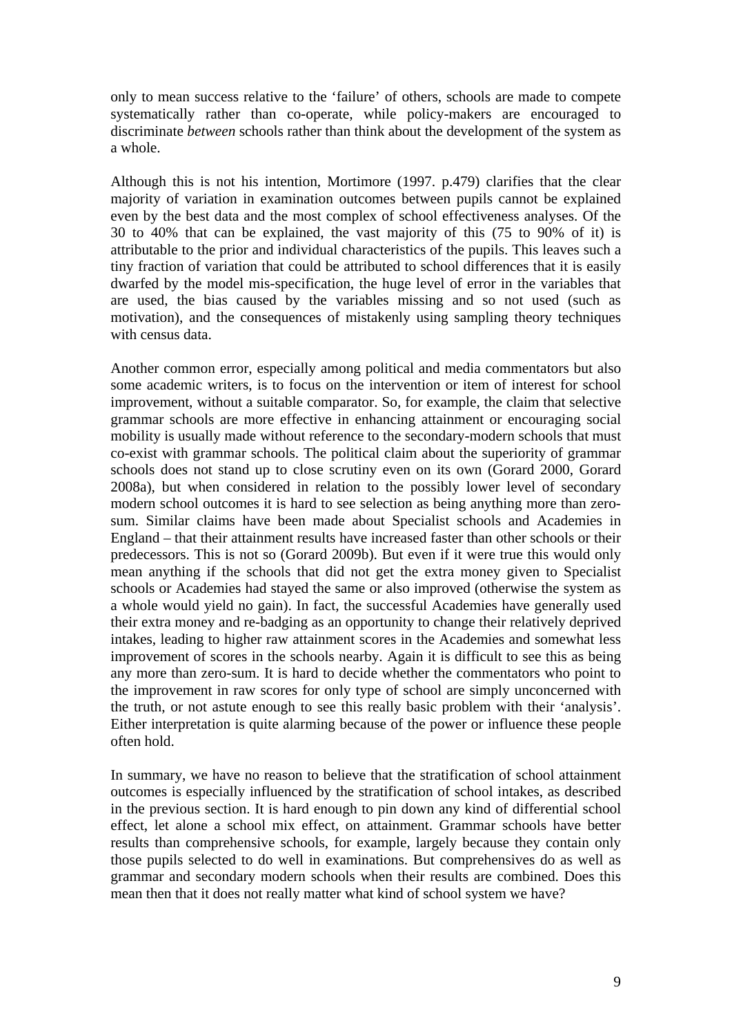only to mean success relative to the 'failure' of others, schools are made to compete systematically rather than co-operate, while policy-makers are encouraged to discriminate *between* schools rather than think about the development of the system as a whole.

Although this is not his intention, Mortimore (1997. p.479) clarifies that the clear majority of variation in examination outcomes between pupils cannot be explained even by the best data and the most complex of school effectiveness analyses. Of the 30 to 40% that can be explained, the vast majority of this (75 to 90% of it) is attributable to the prior and individual characteristics of the pupils. This leaves such a tiny fraction of variation that could be attributed to school differences that it is easily dwarfed by the model mis-specification, the huge level of error in the variables that are used, the bias caused by the variables missing and so not used (such as motivation), and the consequences of mistakenly using sampling theory techniques with census data.

Another common error, especially among political and media commentators but also some academic writers, is to focus on the intervention or item of interest for school improvement, without a suitable comparator. So, for example, the claim that selective grammar schools are more effective in enhancing attainment or encouraging social mobility is usually made without reference to the secondary-modern schools that must co-exist with grammar schools. The political claim about the superiority of grammar schools does not stand up to close scrutiny even on its own (Gorard 2000, Gorard 2008a), but when considered in relation to the possibly lower level of secondary modern school outcomes it is hard to see selection as being anything more than zerosum. Similar claims have been made about Specialist schools and Academies in England – that their attainment results have increased faster than other schools or their predecessors. This is not so (Gorard 2009b). But even if it were true this would only mean anything if the schools that did not get the extra money given to Specialist schools or Academies had stayed the same or also improved (otherwise the system as a whole would yield no gain). In fact, the successful Academies have generally used their extra money and re-badging as an opportunity to change their relatively deprived intakes, leading to higher raw attainment scores in the Academies and somewhat less improvement of scores in the schools nearby. Again it is difficult to see this as being any more than zero-sum. It is hard to decide whether the commentators who point to the improvement in raw scores for only type of school are simply unconcerned with the truth, or not astute enough to see this really basic problem with their 'analysis'. Either interpretation is quite alarming because of the power or influence these people often hold.

In summary, we have no reason to believe that the stratification of school attainment outcomes is especially influenced by the stratification of school intakes, as described in the previous section. It is hard enough to pin down any kind of differential school effect, let alone a school mix effect, on attainment. Grammar schools have better results than comprehensive schools, for example, largely because they contain only those pupils selected to do well in examinations. But comprehensives do as well as grammar and secondary modern schools when their results are combined. Does this mean then that it does not really matter what kind of school system we have?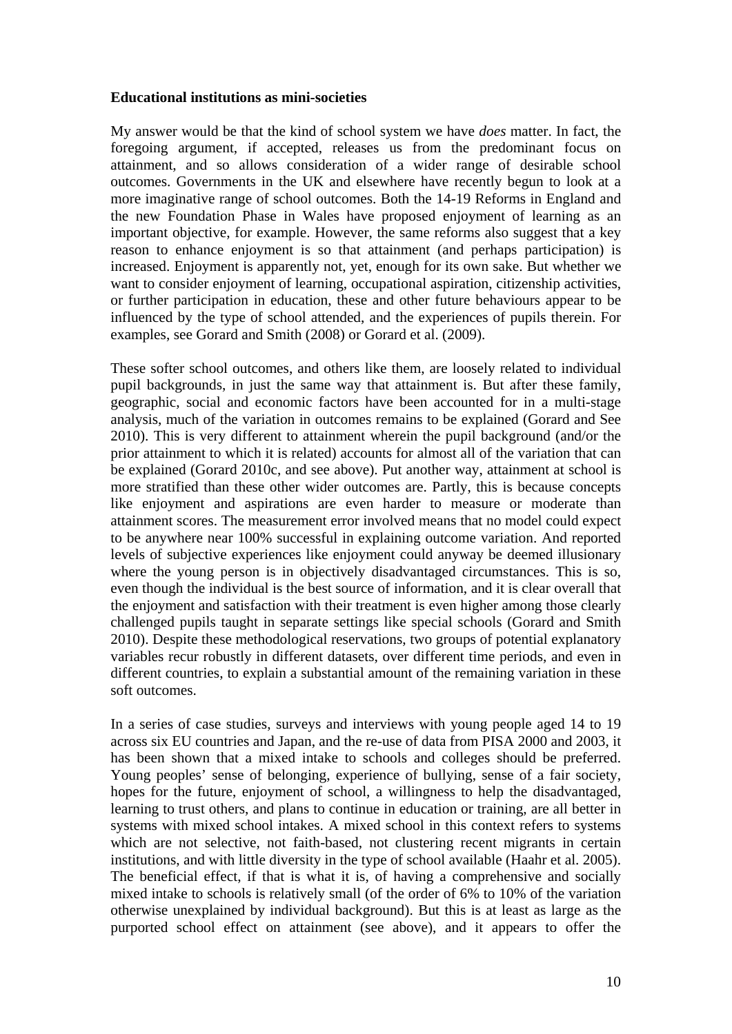#### **Educational institutions as mini-societies**

My answer would be that the kind of school system we have *does* matter. In fact, the foregoing argument, if accepted, releases us from the predominant focus on attainment, and so allows consideration of a wider range of desirable school outcomes. Governments in the UK and elsewhere have recently begun to look at a more imaginative range of school outcomes. Both the 14-19 Reforms in England and the new Foundation Phase in Wales have proposed enjoyment of learning as an important objective, for example. However, the same reforms also suggest that a key reason to enhance enjoyment is so that attainment (and perhaps participation) is increased. Enjoyment is apparently not, yet, enough for its own sake. But whether we want to consider enjoyment of learning, occupational aspiration, citizenship activities, or further participation in education, these and other future behaviours appear to be influenced by the type of school attended, and the experiences of pupils therein. For examples, see Gorard and Smith (2008) or Gorard et al. (2009).

These softer school outcomes, and others like them, are loosely related to individual pupil backgrounds, in just the same way that attainment is. But after these family, geographic, social and economic factors have been accounted for in a multi-stage analysis, much of the variation in outcomes remains to be explained (Gorard and See 2010). This is very different to attainment wherein the pupil background (and/or the prior attainment to which it is related) accounts for almost all of the variation that can be explained (Gorard 2010c, and see above). Put another way, attainment at school is more stratified than these other wider outcomes are. Partly, this is because concepts like enjoyment and aspirations are even harder to measure or moderate than attainment scores. The measurement error involved means that no model could expect to be anywhere near 100% successful in explaining outcome variation. And reported levels of subjective experiences like enjoyment could anyway be deemed illusionary where the young person is in objectively disadvantaged circumstances. This is so, even though the individual is the best source of information, and it is clear overall that the enjoyment and satisfaction with their treatment is even higher among those clearly challenged pupils taught in separate settings like special schools (Gorard and Smith 2010). Despite these methodological reservations, two groups of potential explanatory variables recur robustly in different datasets, over different time periods, and even in different countries, to explain a substantial amount of the remaining variation in these soft outcomes.

In a series of case studies, surveys and interviews with young people aged 14 to 19 across six EU countries and Japan, and the re-use of data from PISA 2000 and 2003, it has been shown that a mixed intake to schools and colleges should be preferred. Young peoples' sense of belonging, experience of bullying, sense of a fair society, hopes for the future, enjoyment of school, a willingness to help the disadvantaged, learning to trust others, and plans to continue in education or training, are all better in systems with mixed school intakes. A mixed school in this context refers to systems which are not selective, not faith-based, not clustering recent migrants in certain institutions, and with little diversity in the type of school available (Haahr et al. 2005). The beneficial effect, if that is what it is, of having a comprehensive and socially mixed intake to schools is relatively small (of the order of 6% to 10% of the variation otherwise unexplained by individual background). But this is at least as large as the purported school effect on attainment (see above), and it appears to offer the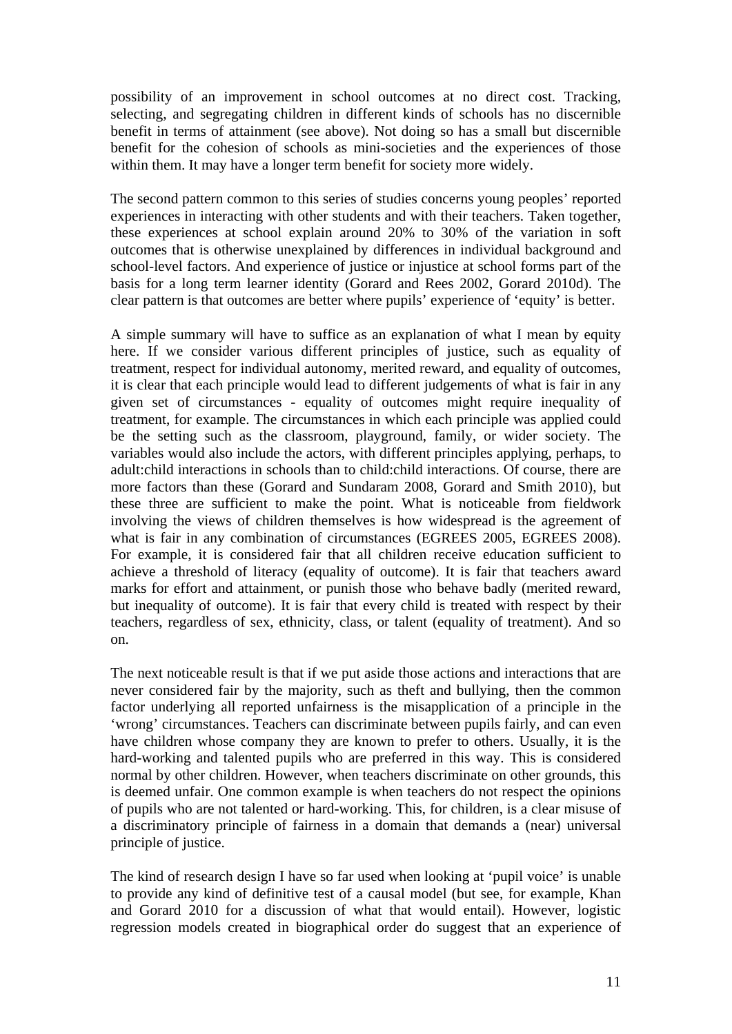possibility of an improvement in school outcomes at no direct cost. Tracking, selecting, and segregating children in different kinds of schools has no discernible benefit in terms of attainment (see above). Not doing so has a small but discernible benefit for the cohesion of schools as mini-societies and the experiences of those within them. It may have a longer term benefit for society more widely.

The second pattern common to this series of studies concerns young peoples' reported experiences in interacting with other students and with their teachers. Taken together, these experiences at school explain around 20% to 30% of the variation in soft outcomes that is otherwise unexplained by differences in individual background and school-level factors. And experience of justice or injustice at school forms part of the basis for a long term learner identity (Gorard and Rees 2002, Gorard 2010d). The clear pattern is that outcomes are better where pupils' experience of 'equity' is better.

A simple summary will have to suffice as an explanation of what I mean by equity here. If we consider various different principles of justice, such as equality of treatment, respect for individual autonomy, merited reward, and equality of outcomes, it is clear that each principle would lead to different judgements of what is fair in any given set of circumstances - equality of outcomes might require inequality of treatment, for example. The circumstances in which each principle was applied could be the setting such as the classroom, playground, family, or wider society. The variables would also include the actors, with different principles applying, perhaps, to adult:child interactions in schools than to child:child interactions. Of course, there are more factors than these (Gorard and Sundaram 2008, Gorard and Smith 2010), but these three are sufficient to make the point. What is noticeable from fieldwork involving the views of children themselves is how widespread is the agreement of what is fair in any combination of circumstances (EGREES 2005, EGREES 2008). For example, it is considered fair that all children receive education sufficient to achieve a threshold of literacy (equality of outcome). It is fair that teachers award marks for effort and attainment, or punish those who behave badly (merited reward, but inequality of outcome). It is fair that every child is treated with respect by their teachers, regardless of sex, ethnicity, class, or talent (equality of treatment). And so on.

The next noticeable result is that if we put aside those actions and interactions that are never considered fair by the majority, such as theft and bullying, then the common factor underlying all reported unfairness is the misapplication of a principle in the 'wrong' circumstances. Teachers can discriminate between pupils fairly, and can even have children whose company they are known to prefer to others. Usually, it is the hard-working and talented pupils who are preferred in this way. This is considered normal by other children. However, when teachers discriminate on other grounds, this is deemed unfair. One common example is when teachers do not respect the opinions of pupils who are not talented or hard-working. This, for children, is a clear misuse of a discriminatory principle of fairness in a domain that demands a (near) universal principle of justice.

The kind of research design I have so far used when looking at 'pupil voice' is unable to provide any kind of definitive test of a causal model (but see, for example, Khan and Gorard 2010 for a discussion of what that would entail). However, logistic regression models created in biographical order do suggest that an experience of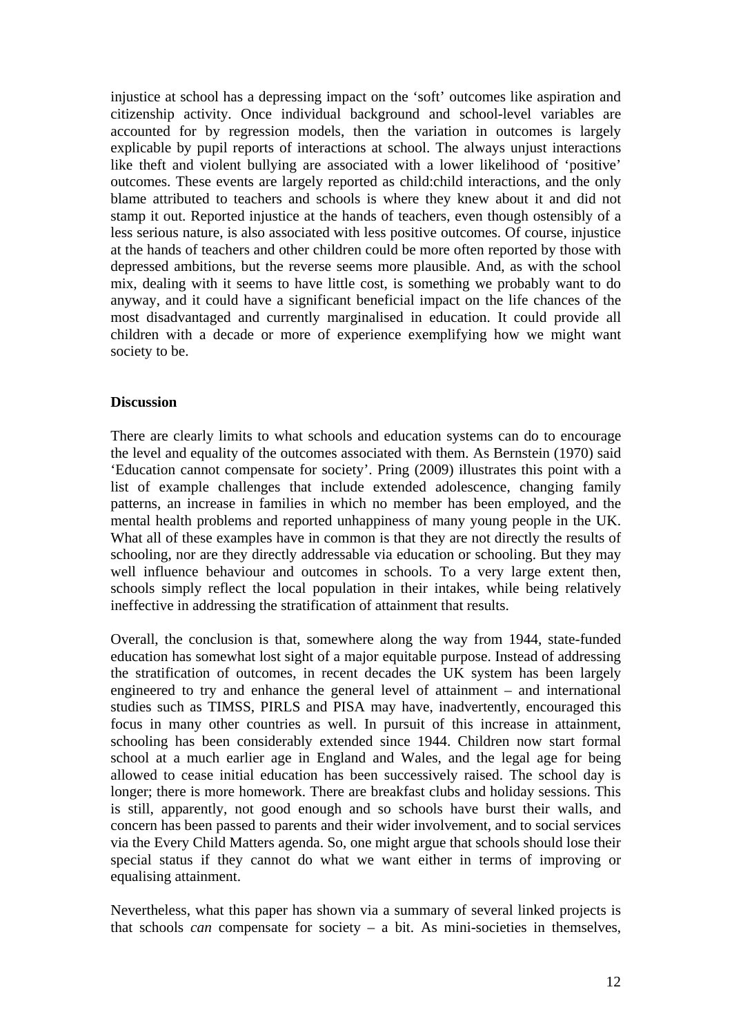injustice at school has a depressing impact on the 'soft' outcomes like aspiration and citizenship activity. Once individual background and school-level variables are accounted for by regression models, then the variation in outcomes is largely explicable by pupil reports of interactions at school. The always unjust interactions like theft and violent bullying are associated with a lower likelihood of 'positive' outcomes. These events are largely reported as child:child interactions, and the only blame attributed to teachers and schools is where they knew about it and did not stamp it out. Reported injustice at the hands of teachers, even though ostensibly of a less serious nature, is also associated with less positive outcomes. Of course, injustice at the hands of teachers and other children could be more often reported by those with depressed ambitions, but the reverse seems more plausible. And, as with the school mix, dealing with it seems to have little cost, is something we probably want to do anyway, and it could have a significant beneficial impact on the life chances of the most disadvantaged and currently marginalised in education. It could provide all children with a decade or more of experience exemplifying how we might want society to be.

#### **Discussion**

There are clearly limits to what schools and education systems can do to encourage the level and equality of the outcomes associated with them. As Bernstein (1970) said 'Education cannot compensate for society'. Pring (2009) illustrates this point with a list of example challenges that include extended adolescence, changing family patterns, an increase in families in which no member has been employed, and the mental health problems and reported unhappiness of many young people in the UK. What all of these examples have in common is that they are not directly the results of schooling, nor are they directly addressable via education or schooling. But they may well influence behaviour and outcomes in schools. To a very large extent then, schools simply reflect the local population in their intakes, while being relatively ineffective in addressing the stratification of attainment that results.

Overall, the conclusion is that, somewhere along the way from 1944, state-funded education has somewhat lost sight of a major equitable purpose. Instead of addressing the stratification of outcomes, in recent decades the UK system has been largely engineered to try and enhance the general level of attainment – and international studies such as TIMSS, PIRLS and PISA may have, inadvertently, encouraged this focus in many other countries as well. In pursuit of this increase in attainment, schooling has been considerably extended since 1944. Children now start formal school at a much earlier age in England and Wales, and the legal age for being allowed to cease initial education has been successively raised. The school day is longer; there is more homework. There are breakfast clubs and holiday sessions. This is still, apparently, not good enough and so schools have burst their walls, and concern has been passed to parents and their wider involvement, and to social services via the Every Child Matters agenda. So, one might argue that schools should lose their special status if they cannot do what we want either in terms of improving or equalising attainment.

Nevertheless, what this paper has shown via a summary of several linked projects is that schools *can* compensate for society  $-$  a bit. As mini-societies in themselves,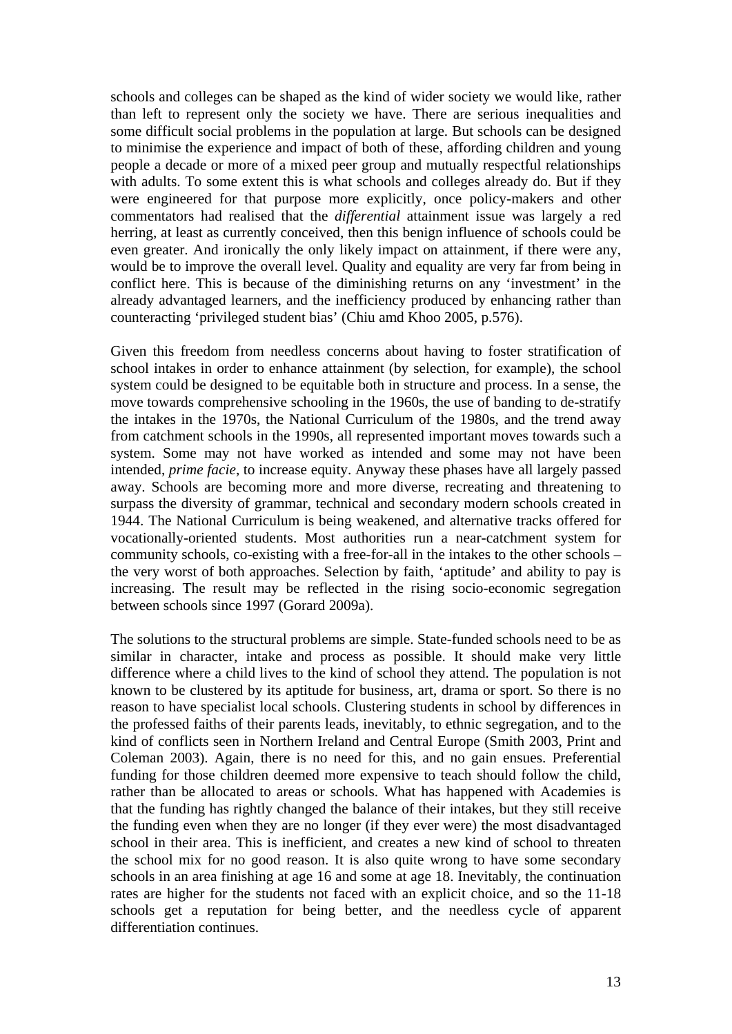schools and colleges can be shaped as the kind of wider society we would like, rather than left to represent only the society we have. There are serious inequalities and some difficult social problems in the population at large. But schools can be designed to minimise the experience and impact of both of these, affording children and young people a decade or more of a mixed peer group and mutually respectful relationships with adults. To some extent this is what schools and colleges already do. But if they were engineered for that purpose more explicitly, once policy-makers and other commentators had realised that the *differential* attainment issue was largely a red herring, at least as currently conceived, then this benign influence of schools could be even greater. And ironically the only likely impact on attainment, if there were any, would be to improve the overall level. Quality and equality are very far from being in conflict here. This is because of the diminishing returns on any 'investment' in the already advantaged learners, and the inefficiency produced by enhancing rather than counteracting 'privileged student bias' (Chiu amd Khoo 2005, p.576).

Given this freedom from needless concerns about having to foster stratification of school intakes in order to enhance attainment (by selection, for example), the school system could be designed to be equitable both in structure and process. In a sense, the move towards comprehensive schooling in the 1960s, the use of banding to de-stratify the intakes in the 1970s, the National Curriculum of the 1980s, and the trend away from catchment schools in the 1990s, all represented important moves towards such a system. Some may not have worked as intended and some may not have been intended, *prime facie*, to increase equity. Anyway these phases have all largely passed away. Schools are becoming more and more diverse, recreating and threatening to surpass the diversity of grammar, technical and secondary modern schools created in 1944. The National Curriculum is being weakened, and alternative tracks offered for vocationally-oriented students. Most authorities run a near-catchment system for community schools, co-existing with a free-for-all in the intakes to the other schools – the very worst of both approaches. Selection by faith, 'aptitude' and ability to pay is increasing. The result may be reflected in the rising socio-economic segregation between schools since 1997 (Gorard 2009a).

The solutions to the structural problems are simple. State-funded schools need to be as similar in character, intake and process as possible. It should make very little difference where a child lives to the kind of school they attend. The population is not known to be clustered by its aptitude for business, art, drama or sport. So there is no reason to have specialist local schools. Clustering students in school by differences in the professed faiths of their parents leads, inevitably, to ethnic segregation, and to the kind of conflicts seen in Northern Ireland and Central Europe (Smith 2003, Print and Coleman 2003). Again, there is no need for this, and no gain ensues. Preferential funding for those children deemed more expensive to teach should follow the child, rather than be allocated to areas or schools. What has happened with Academies is that the funding has rightly changed the balance of their intakes, but they still receive the funding even when they are no longer (if they ever were) the most disadvantaged school in their area. This is inefficient, and creates a new kind of school to threaten the school mix for no good reason. It is also quite wrong to have some secondary schools in an area finishing at age 16 and some at age 18. Inevitably, the continuation rates are higher for the students not faced with an explicit choice, and so the 11-18 schools get a reputation for being better, and the needless cycle of apparent differentiation continues.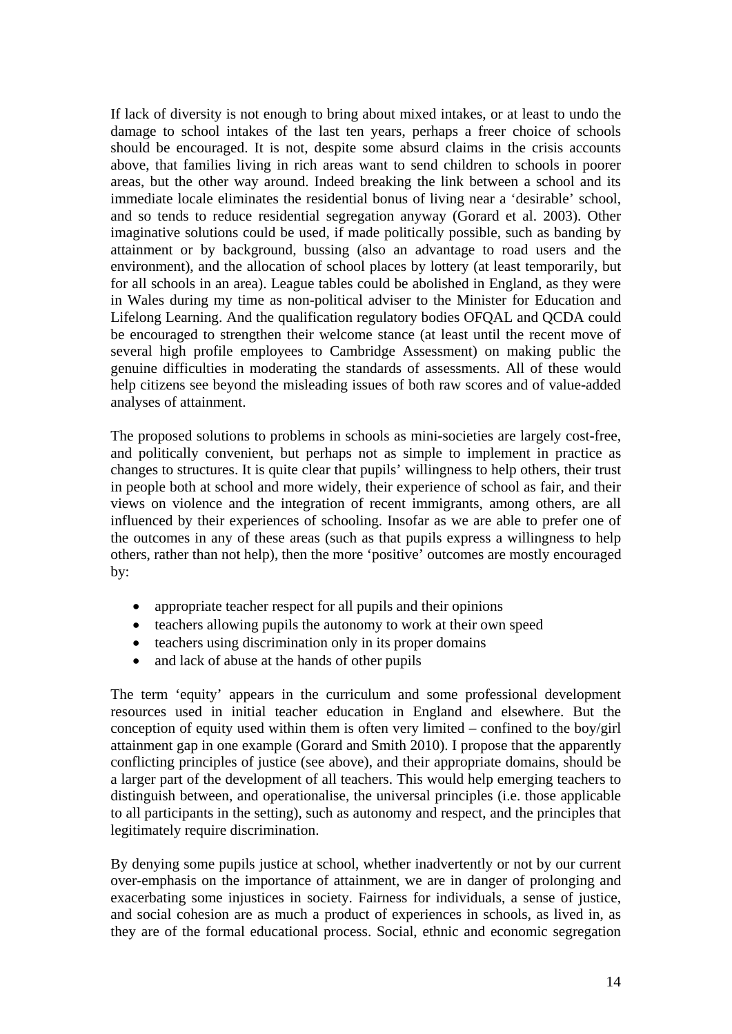If lack of diversity is not enough to bring about mixed intakes, or at least to undo the damage to school intakes of the last ten years, perhaps a freer choice of schools should be encouraged. It is not, despite some absurd claims in the crisis accounts above, that families living in rich areas want to send children to schools in poorer areas, but the other way around. Indeed breaking the link between a school and its immediate locale eliminates the residential bonus of living near a 'desirable' school, and so tends to reduce residential segregation anyway (Gorard et al. 2003). Other imaginative solutions could be used, if made politically possible, such as banding by attainment or by background, bussing (also an advantage to road users and the environment), and the allocation of school places by lottery (at least temporarily, but for all schools in an area). League tables could be abolished in England, as they were in Wales during my time as non-political adviser to the Minister for Education and Lifelong Learning. And the qualification regulatory bodies OFQAL and QCDA could be encouraged to strengthen their welcome stance (at least until the recent move of several high profile employees to Cambridge Assessment) on making public the genuine difficulties in moderating the standards of assessments. All of these would help citizens see beyond the misleading issues of both raw scores and of value-added analyses of attainment.

The proposed solutions to problems in schools as mini-societies are largely cost-free, and politically convenient, but perhaps not as simple to implement in practice as changes to structures. It is quite clear that pupils' willingness to help others, their trust in people both at school and more widely, their experience of school as fair, and their views on violence and the integration of recent immigrants, among others, are all influenced by their experiences of schooling. Insofar as we are able to prefer one of the outcomes in any of these areas (such as that pupils express a willingness to help others, rather than not help), then the more 'positive' outcomes are mostly encouraged by:

- appropriate teacher respect for all pupils and their opinions
- teachers allowing pupils the autonomy to work at their own speed
- teachers using discrimination only in its proper domains
- and lack of abuse at the hands of other pupils

The term 'equity' appears in the curriculum and some professional development resources used in initial teacher education in England and elsewhere. But the conception of equity used within them is often very limited – confined to the boy/girl attainment gap in one example (Gorard and Smith 2010). I propose that the apparently conflicting principles of justice (see above), and their appropriate domains, should be a larger part of the development of all teachers. This would help emerging teachers to distinguish between, and operationalise, the universal principles (i.e. those applicable to all participants in the setting), such as autonomy and respect, and the principles that legitimately require discrimination.

By denying some pupils justice at school, whether inadvertently or not by our current over-emphasis on the importance of attainment, we are in danger of prolonging and exacerbating some injustices in society. Fairness for individuals, a sense of justice, and social cohesion are as much a product of experiences in schools, as lived in, as they are of the formal educational process. Social, ethnic and economic segregation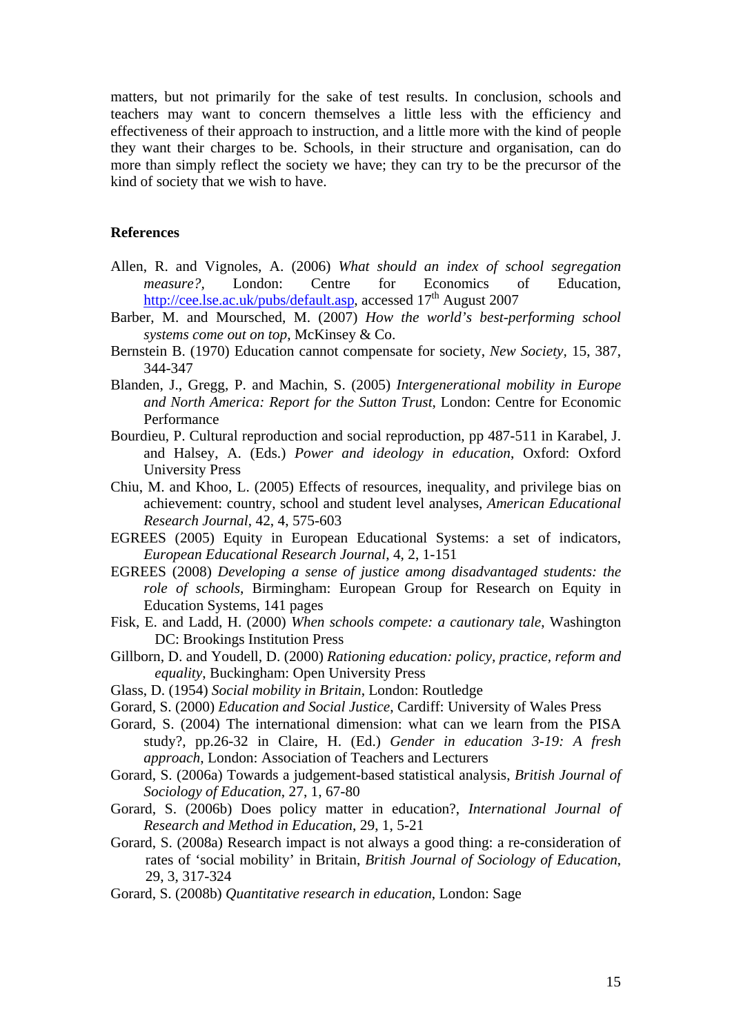matters, but not primarily for the sake of test results. In conclusion, schools and teachers may want to concern themselves a little less with the efficiency and effectiveness of their approach to instruction, and a little more with the kind of people they want their charges to be. Schools, in their structure and organisation, can do more than simply reflect the society we have; they can try to be the precursor of the kind of society that we wish to have.

#### **References**

- Allen, R. and Vignoles, A. (2006) *What should an index of school segregation measure?,* London: Centre for Economics of Education, <http://cee.lse.ac.uk/pubs/default.asp>, accessed 17<sup>th</sup> August 2007
- Barber, M. and Moursched, M. (2007) *How the world's best-performing school systems come out on top*, McKinsey & Co.
- Bernstein B. (1970) Education cannot compensate for society, *New Society,* 15, 387, 344-347
- Blanden, J., Gregg, P. and Machin, S. (2005) *Intergenerational mobility in Europe and North America: Report for the Sutton Trust*, London: Centre for Economic Performance
- Bourdieu, P. Cultural reproduction and social reproduction, pp 487-511 in Karabel, J. and Halsey, A. (Eds.) *Power and ideology in education*, Oxford: Oxford University Press
- Chiu, M. and Khoo, L. (2005) Effects of resources, inequality, and privilege bias on achievement: country, school and student level analyses, *American Educational Research Journal*, 42, 4, 575-603
- EGREES (2005) Equity in European Educational Systems: a set of indicators, *European Educational Research Journal*, 4, 2, 1-151
- EGREES (2008) *Developing a sense of justice among disadvantaged students: the role of schools*, Birmingham: European Group for Research on Equity in Education Systems, 141 pages
- Fisk, E. and Ladd, H. (2000) *When schools compete: a cautionary tale*, Washington DC: Brookings Institution Press
- Gillborn, D. and Youdell, D. (2000) *Rationing education: policy, practice, reform and equality*, Buckingham: Open University Press
- Glass, D. (1954) *Social mobility in Britain*, London: Routledge
- Gorard, S. (2000) *Education and Social Justice*, Cardiff: University of Wales Press

Gorard, S. (2004) The international dimension: what can we learn from the PISA study?, pp.26-32 in Claire, H. (Ed.) *Gender in education 3-19: A fresh approach*, London: Association of Teachers and Lecturers

- Gorard, S. (2006a) Towards a judgement-based statistical analysis, *British Journal of Sociology of Education*, 27, 1, 67-80
- Gorard, S. (2006b) Does policy matter in education?, *International Journal of Research and Method in Education*, 29, 1, 5-21
- Gorard, S. (2008a) Research impact is not always a good thing: a re-consideration of rates of 'social mobility' in Britain, *British Journal of Sociology of Education*, 29, 3, 317-324
- Gorard, S. (2008b) *Quantitative research in education*, London: Sage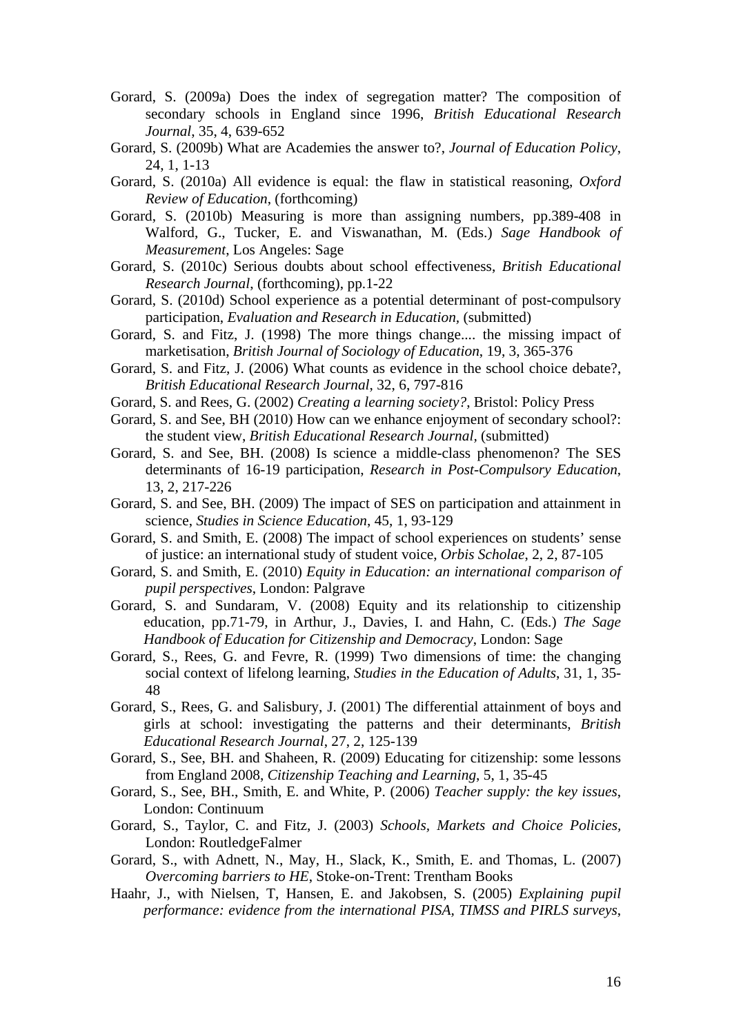- Gorard, S. (2009a) Does the index of segregation matter? The composition of secondary schools in England since 1996, *British Educational Research Journal*, 35, 4, 639-652
- Gorard, S. (2009b) What are Academies the answer to?, *Journal of Education Policy*, 24, 1, 1-13
- Gorard, S. (2010a) All evidence is equal: the flaw in statistical reasoning, *Oxford Review of Education*, (forthcoming)
- Gorard, S. (2010b) Measuring is more than assigning numbers, pp.389-408 in Walford, G., Tucker, E. and Viswanathan, M. (Eds.) *Sage Handbook of Measurement*, Los Angeles: Sage
- Gorard, S. (2010c) Serious doubts about school effectiveness, *British Educational Research Journal*, (forthcoming), pp.1-22
- Gorard, S. (2010d) School experience as a potential determinant of post-compulsory participation, *Evaluation and Research in Education,* (submitted)
- Gorard, S. and Fitz, J. (1998) The more things change.... the missing impact of marketisation, *British Journal of Sociology of Education*, 19, 3, 365-376
- Gorard, S. and Fitz, J. (2006) What counts as evidence in the school choice debate?, *British Educational Research Journal*, 32, 6, 797-816
- Gorard, S. and Rees, G. (2002) *Creating a learning society?*, Bristol: Policy Press
- Gorard, S. and See, BH (2010) How can we enhance enjoyment of secondary school?: the student view, *British Educational Research Journal,* (submitted)
- Gorard, S. and See, BH. (2008) Is science a middle-class phenomenon? The SES determinants of 16-19 participation, *Research in Post-Compulsory Education*, 13, 2, 217-226
- Gorard, S. and See, BH. (2009) The impact of SES on participation and attainment in science, *Studies in Science Education*, 45, 1, 93-129
- Gorard, S. and Smith, E. (2008) The impact of school experiences on students' sense of justice: an international study of student voice, *Orbis Scholae*, 2, 2, 87-105
- Gorard, S. and Smith, E. (2010) *Equity in Education: an international comparison of pupil perspectives*, London: Palgrave
- Gorard, S. and Sundaram, V. (2008) Equity and its relationship to citizenship education, pp.71-79, in Arthur, J., Davies, I. and Hahn, C. (Eds.) *The Sage Handbook of Education for Citizenship and Democracy*, London: Sage
- Gorard, S., Rees, G. and Fevre, R. (1999) Two dimensions of time: the changing social context of lifelong learning, *Studies in the Education of Adults*, 31, 1, 35- 48
- Gorard, S., Rees, G. and Salisbury, J. (2001) The differential attainment of boys and girls at school: investigating the patterns and their determinants, *British Educational Research Journal*, 27, 2, 125-139
- Gorard, S., See, BH. and Shaheen, R. (2009) Educating for citizenship: some lessons from England 2008, *Citizenship Teaching and Learning*, 5, 1, 35-45
- Gorard, S., See, BH., Smith, E. and White, P. (2006) *Teacher supply: the key issues*, London: Continuum
- Gorard, S., Taylor, C. and Fitz, J. (2003) *Schools, Markets and Choice Policies,* London: RoutledgeFalmer
- Gorard, S., with Adnett, N., May, H., Slack, K., Smith, E. and Thomas, L. (2007) *Overcoming barriers to HE*, Stoke-on-Trent: Trentham Books
- Haahr, J., with Nielsen, T, Hansen, E. and Jakobsen, S. (2005) *Explaining pupil performance: evidence from the international PISA, TIMSS and PIRLS surveys*,